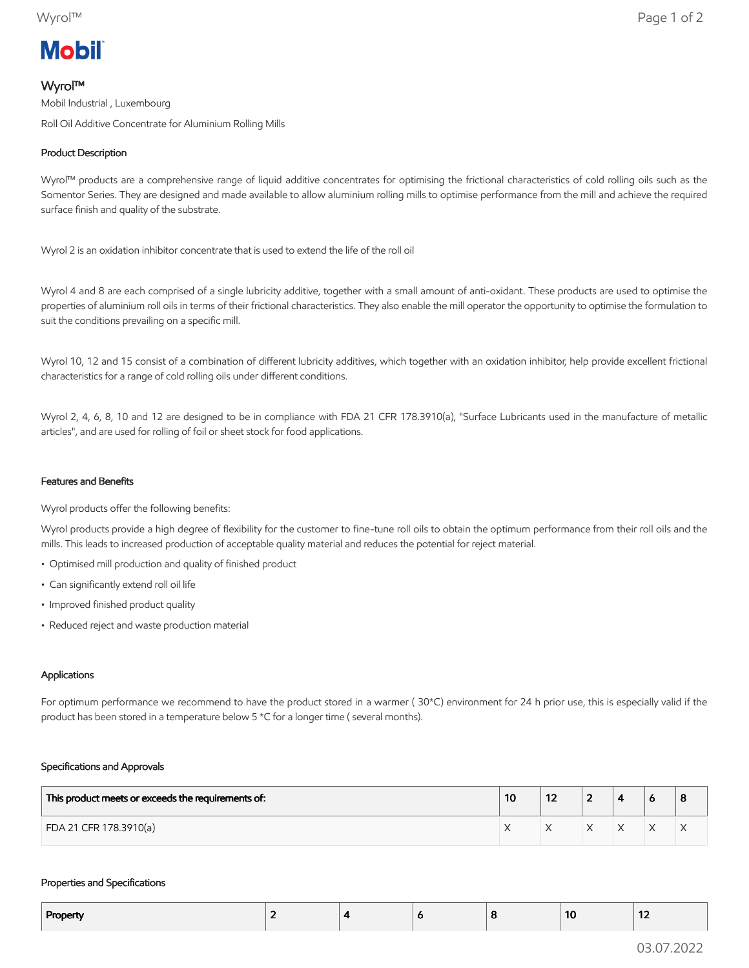# **Mobil**

## Wyrol™

Mobil Industrial , Luxembourg Roll Oil Additive Concentrate for Aluminium Rolling Mills

## Product Description

Wyrol™ products are a comprehensive range of liquid additive concentrates for optimising the frictional characteristics of cold rolling oils such as the Somentor Series. They are designed and made available to allow aluminium rolling mills to optimise performance from the mill and achieve the required surface finish and quality of the substrate.

Wyrol 2 is an oxidation inhibitor concentrate that is used to extend the life of the roll oil

Wyrol 4 and 8 are each comprised of a single lubricity additive, together with a small amount of anti-oxidant. These products are used to optimise the properties of aluminium roll oils in terms of their frictional characteristics. They also enable the mill operator the opportunity to optimise the formulation to suit the conditions prevailing on a specific mill.

Wyrol 10, 12 and 15 consist of a combination of different lubricity additives, which together with an oxidation inhibitor, help provide excellent frictional characteristics for a range of cold rolling oils under different conditions.

Wyrol 2, 4, 6, 8, 10 and 12 are designed to be in compliance with FDA 21 CFR 178.3910(a), "Surface Lubricants used in the manufacture of metallic articles", and are used for rolling of foil or sheet stock for food applications.

### Features and Benefits

Wyrol products offer the following benefits:

Wyrol products provide a high degree of flexibility for the customer to fine-tune roll oils to obtain the optimum performance from their roll oils and the mills. This leads to increased production of acceptable quality material and reduces the potential for reject material.

- Optimised mill production and quality of finished product
- Can significantly extend roll oil life
- Improved finished product quality
- Reduced reject and waste production material

#### Applications

For optimum performance we recommend to have the product stored in a warmer ( 30\*C) environment for 24 h prior use, this is especially valid if the product has been stored in a temperature below 5 \*C for a longer time ( several months).

#### Specifications and Approvals

| This product meets or exceeds the requirements of: | 10 | 14 | - |  | 8 |
|----------------------------------------------------|----|----|---|--|---|
| FDA 21 CFR 178.3910(a)                             |    |    |   |  | ∧ |

#### Properties and Specifications

| Property |  | o | 10 | .<br>$\overline{\phantom{a}}$ |
|----------|--|---|----|-------------------------------|
|          |  |   |    |                               |